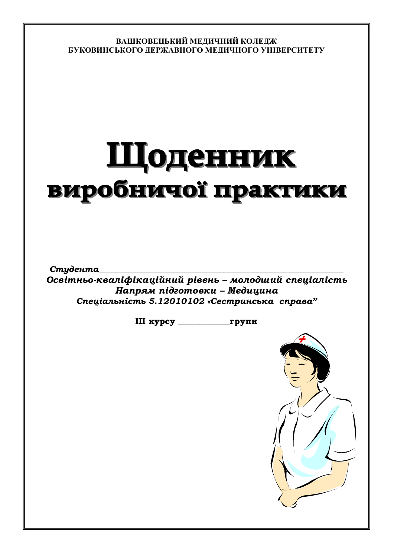ВАШКОВЕЦЬКИЙ МЕЛИЧНИЙ КОЛЕЛЖ БУКОВИНСЬКОГО ДЕРЖАВНОГО МЕДИЧНОГО УНІВЕРСИТЕТУ

# Шоденник виробничої практики

Студента Освітньо-кваліфікаційний рівень - молодший спеціалість Напрям підготовки - Медицина Спеціальність 5.12010102 «Сестринська справа"

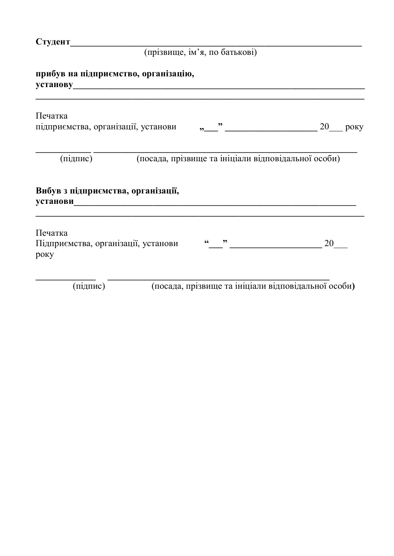# (прізвище, ім'я, по батькові)

**ɭɫɬɚɧɨɜɭ\_\_\_\_\_\_\_\_\_\_\_\_\_\_\_\_\_\_\_\_\_\_\_\_\_\_\_\_\_\_\_\_\_\_\_\_\_\_\_\_\_\_\_\_\_\_\_\_\_\_\_\_\_\_\_\_\_\_\_\_\_\_\_**

|          | прибув на підприємство, організацію, |  |
|----------|--------------------------------------|--|
| установу |                                      |  |

| Печатка<br>підприємства, організації, установи         |  | $\overline{\phantom{a}}$ |                                                     | 20 | року |
|--------------------------------------------------------|--|--------------------------|-----------------------------------------------------|----|------|
| (підпис)                                               |  |                          | (посада, прізвище та ініціали відповідальної особи) |    |      |
| Вибув з підприємства, організації,<br><b>установи</b>  |  |                          |                                                     |    |      |
| Печатка<br>Підприємства, організації, установи<br>року |  | ,,                       |                                                     | 20 |      |
| (підпис)                                               |  |                          | (посада, прізвище та ініціали відповідальної особи) |    |      |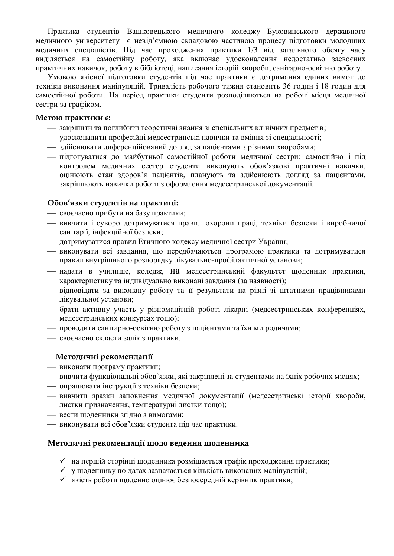Практика студентів Вашковецького медичного коледжу Буковинського державного медичного університету є невід'ємною складовою частиною процесу підготовки молодших медичних спеціалістів. Під час проходження практики 1/3 від загального обсягу часу виділяється на самостійну роботу, яка включає удосконалення недостатньо засвоєних практичних навичок, роботу в бібліотеці, написання історій хвороби, санітарно-освітню роботу.

Умовою якісної підготовки студентів під час практики є дотримання єдиних вимог до техніки виконання маніпуляцій. Тривалість робочого тижня становить 36 годин і 18 годин для самостійної роботи. На період практики студенти розподіляються на робочі місця медичної сестри за графіком.

#### Метою практики  $\varepsilon$ :

- закріпити та поглибити теоретичні знання зі спеціальних клінічних предметів;
- удосконалити професійні медсестринські навички та вміння зі спеціальності:
- здійснювати диференційований догляд за пацієнтами з різними хворобами;
- пілготуватися до майбутньої самостійної роботи меличної сестри: самостійно і під контролем медичних сестер студенти виконують обов'язкові практичні навички, оцінюють стан здоров'я пацієнтів, планують та здійснюють догляд за пацієнтами, закріплюють навички роботи з оформлення медсестринської документації.

#### Обов'язки студентів на практиці:

- своєчасно прибути на базу практики;
- вивчити і суворо дотримуватися правил охорони праці, техніки безпеки і виробничої санітарії, інфекційної безпеки;
- дотримуватися правил Етичного кодексу медичної сестри України;
- виконувати всі завдання, що передбачаються програмою практики та дотримуватися правил внутрішнього розпорядку лікувально-профілактичної установи;
- надати в училище, коледж, На медсестринський факультет щоденник практики, характеристику та індивідуально виконані завдання (за наявності);
- відповідати за виконану роботу та її результати на рівні зі штатними працівниками лікувальної установи;
- брати активну участь у різноманітній роботі лікарні (медсестринських конференціях, медсестринських конкурсах тощо);
- проводити санітарно-освітню роботу з пацієнтами та їхніми родичами;
- своєчасно скласти залік з практики.

# **Методичні рекомендації**

- **виконати програму практики;**
- вивчити функціональні обов'язки, які закріплені за студентами на їхніх робочих місцях;
- опрацювати інструкції з техніки безпеки;
- вивчити зразки заповнення медичної документації (медсестринські історії хвороби, листки призначення, температурні листки тощо);
- вести щоденники згідно з вимогами;
- **виконувати всі обов'язки студента під час практики.**

#### Методичні рекомендації щодо ведення щоденника

- ◆ на першій сторінці щоденника розміщається графік проходження практики;
- ◆ ущоденнику по датах зазначається кількість виконаних маніпуляцій:
- ◆ якість роботи щоденно оцінює безпосередній керівник практики;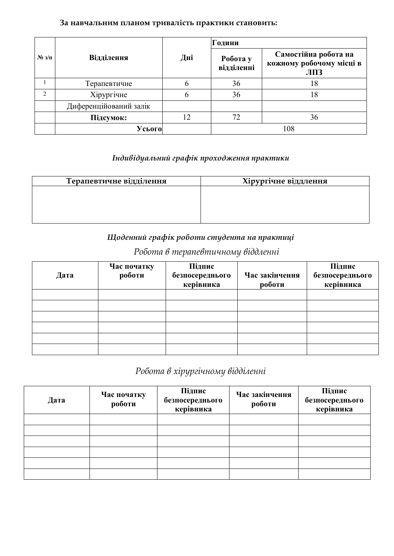# За навчальним планом тривалість практики становить:

|                |                        |     | Години                 |                                                         |
|----------------|------------------------|-----|------------------------|---------------------------------------------------------|
| $N_2$ з/п      | <b>Відділення</b>      | Дні | Робота у<br>відділенні | Самостійна робота на<br>кожному робочому місці в<br>ЛПЗ |
|                | Терапевтичне           | 6   | 36                     | 18                                                      |
| $\mathfrak{D}$ | Хірургічне             | b   | 36                     | 18                                                      |
|                | Диференційований залік |     |                        |                                                         |
|                | Підсумок:              | 12  | 72                     | 36                                                      |
|                | Усього                 |     |                        | 108                                                     |

# **Індивідуальний графік проходження практики**

| Терапевтичне відділення | Хірургічне віддлення |
|-------------------------|----------------------|
|                         |                      |
|                         |                      |
|                         |                      |

# *ȇȜȒȓțțȖȗȑȞȎȢȳȘȞȜȏȜȠȖȟȠȡȒȓțȠȎțȎȝȞȎȘȠȖȤȳ*

# Робота в терапевтичному віддленні

| Дата | Час початку<br>роботи | Підпис<br>безпосереднього | Час закінчення | Підпис<br>безпосереднього |
|------|-----------------------|---------------------------|----------------|---------------------------|
|      |                       | керівника                 | роботи         | керівника                 |
|      |                       |                           |                |                           |
|      |                       |                           |                |                           |
|      |                       |                           |                |                           |
|      |                       |                           |                |                           |
|      |                       |                           |                |                           |
|      |                       |                           |                |                           |

# Робота в хірургічному відділенні

| Дата | Час початку<br>роботи | Підпис<br>безпосереднього<br>керівника | Час закінчення<br>роботи | Підпис<br>безпосереднього<br>керівника |
|------|-----------------------|----------------------------------------|--------------------------|----------------------------------------|
|      |                       |                                        |                          |                                        |
|      |                       |                                        |                          |                                        |
|      |                       |                                        |                          |                                        |
|      |                       |                                        |                          |                                        |
|      |                       |                                        |                          |                                        |
|      |                       |                                        |                          |                                        |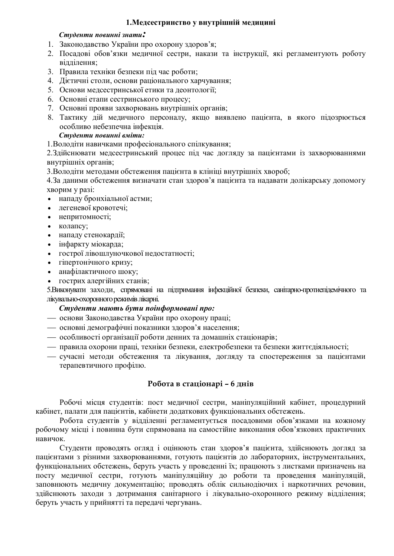## 1. Медсестринство у внутрішній медицині

#### Студенти повинні знати:

- 1. Законодавство України про охорону здоров'я;
- 2. Посадові обов'язки медичної сестри, накази та інструкції, які регламентують роботу відділення;
- 3. Правила техніки безпеки під час роботи;
- 4. Дієтичні столи, основи раціонального харчування;
- 5. Основи медсестринської етики та деонтології:
- 6. Основні етапи сестринського процесу;
- 7. Основні прояви захворювань внутрішніх органів;
- 8. Тактику дій медичного персоналу, якщо виявлено пацієнта, в якого підозрюється особливо небезпечна інфекція.

#### $C$ *m*уденти повинні вміти:

1. Володіти навичками професіонального спілкування;

2. Здійснювати медсестринський процес під час догляду за пацієнтами із захворюваннями внутрішніх органів;

3. Володіти методами обстеження пацієнта в клініці внутрішніх хвороб;

4. За даними обстеження визначати стан здоров'я пацієнта та надавати долікарську допомогу хворим у разі:

- нападу бронхіальної астми;
- легеневої кровотечі;
- непритомності;
- $\bullet$  колапсу;
- нападу стенокардії;
- indapkty Miokapha:
- гострої лівошлуночкової недостатності;
- гіпертонічного кризу;
- анафілактичного шоку:
- гострих алергійних станів;

5. Виконувати заходи, спрямовані на підпримання інфекційної безпеки, санітарно-протиепідемічного та лікувально-охоронного режимів лікарні.

# $C$ *түденти мають бути поінформовані про:*

- **основи Законодавства України про охорону праці;**
- основні демографічні показники здоров'я населення;
- = особливості організації роботи денних та домашніх стаціонарів;
- правила охорони праці, техніки безпеки, електробезпеки та безпеки життєдіяльності;
- сучасні методи обстеження та лікування, догляду та спостереження за пацієнтами терапевтичного профілю.

# Робота в стаціонарі - 6 днів

Робочі місця студентів: пост медичної сестри, маніпуляційний кабінет, процедурний кабінет, палати для пацієнтів, кабінети додаткових функціональних обстежень.

Робота студентів у відділенні регламентується посадовими обов'язками на кожному робочому місці і повинна бути спрямована на самостійне виконання обов'язкових практичних навичок.

Студенти проводять огляд і оцінюють стан здоров'я пацієнта, здійснюють догляд за пацієнтами з різними захворюваннями, готують пацієнтів до лабораторних, інструментальних, функціональних обстежень, беруть участь у проведенні їх; працюють з листками призначень на посту медичної сестри, готують маніпуляційну до роботи та проведення маніпуляцій, заповнюють медичну документацію; проводять облік сильнодіючих і наркотичних речовин, здійснюють заходи з дотримання санітарного і лікувально-охоронного режиму відділення; беруть участь у прийнятті та передачі чергувань.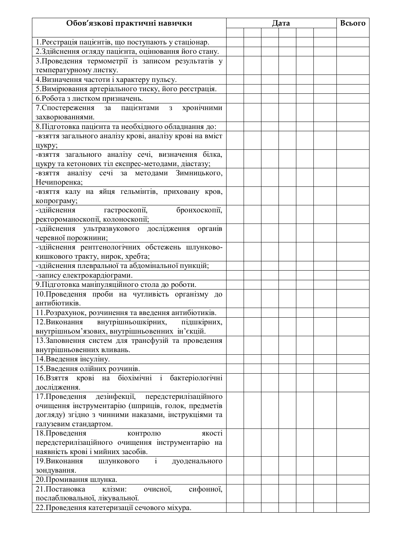| Обов'язкові практичні навички                                  | Дата |  |  | Всього |  |
|----------------------------------------------------------------|------|--|--|--------|--|
|                                                                |      |  |  |        |  |
| 1. Ресстрація пацієнтів, що поступають у стаціонар.            |      |  |  |        |  |
| 2. Здійснення огляду пацієнта, оцінювання його стану.          |      |  |  |        |  |
| 3. Проведення термометрії із записом результатів у             |      |  |  |        |  |
| температурному листку.                                         |      |  |  |        |  |
| 4. Визначення частоти і характеру пульсу.                      |      |  |  |        |  |
| 5. Вимірювання артеріального тиску, його реєстрація.           |      |  |  |        |  |
| 6. Робота з листком призначень.                                |      |  |  |        |  |
| 7. Спостереження за пацієнтами з хронічними                    |      |  |  |        |  |
| захворюваннями.                                                |      |  |  |        |  |
| 8. Підготовка пацієнта та необхідного обладнання до:           |      |  |  |        |  |
| -взяття загального аналізу крові, аналізу крові на вміст       |      |  |  |        |  |
| цукру;                                                         |      |  |  |        |  |
| -взяття загального аналізу сечі, визначення білка,             |      |  |  |        |  |
| цукру та кетонових тіл експрес-методами, діастазу;             |      |  |  |        |  |
| -взяття аналізу сечі за методами Зимницького,                  |      |  |  |        |  |
| Нечипоренка;                                                   |      |  |  |        |  |
| -взяття калу на яйця гельмінтів, приховану кров,               |      |  |  |        |  |
| копрограму;                                                    |      |  |  |        |  |
| -здійснення<br>бронхоскопії,<br>гастроскопії,                  |      |  |  |        |  |
| ректороманоскопії, колоноскопії;                               |      |  |  |        |  |
| -здійснення ультразвукового дослідження органів                |      |  |  |        |  |
| черевної порожнини;                                            |      |  |  |        |  |
| -здійснення рентгенологічних обстежень шлунково-               |      |  |  |        |  |
| кишкового тракту, нирок, хребта;                               |      |  |  |        |  |
| -здійснення плевральної та абдомінальної пункцій;              |      |  |  |        |  |
| -запису електрокардіограми.                                    |      |  |  |        |  |
| 9. Підготовка маніпуляційного стола до роботи.                 |      |  |  |        |  |
| 10. Проведення проби на чутливість організму до                |      |  |  |        |  |
| антибіотиків.                                                  |      |  |  |        |  |
| 11. Розрахунок, розчинення та введення антибіотиків.           |      |  |  |        |  |
| внутрішньошкірних, підшкірних,<br>12. Виконання                |      |  |  |        |  |
| внутрішньом'язових, внутрішньовенних ін'єкцій.                 |      |  |  |        |  |
| 13. Заповнення систем для трансфузій та проведення             |      |  |  |        |  |
| внутрішньовенних вливань.                                      |      |  |  |        |  |
| 14. Введення інсуліну.                                         |      |  |  |        |  |
| 15. Введення олійних розчинів.                                 |      |  |  |        |  |
| 16. Взяття крові на біохімічні і бактеріологічні               |      |  |  |        |  |
| дослідження.                                                   |      |  |  |        |  |
| дезінфекції, передстерилізаційного<br>17. Проведення           |      |  |  |        |  |
| очищення інструментарію (шприців, голок, предметів             |      |  |  |        |  |
| догляду) згідно з чинними наказами, інструкціями та            |      |  |  |        |  |
| галузевим стандартом.                                          |      |  |  |        |  |
| 18. Проведення<br>контролю<br>якості                           |      |  |  |        |  |
| передстерилізаційного очищення інструментарію на               |      |  |  |        |  |
| наявність крові і мийних засобів.                              |      |  |  |        |  |
| $\overline{i}$<br>19. Виконання<br>ШЛУНКОВОГО<br>дуоденального |      |  |  |        |  |
| зондування.                                                    |      |  |  |        |  |
| 20. Промивання шлунка.                                         |      |  |  |        |  |
| очисної,<br>21. Постановка<br>сифонної,<br>клізми:             |      |  |  |        |  |
| послаблювальної, лікувальної.                                  |      |  |  |        |  |
| 22. Проведення катетеризації сечового міхура.                  |      |  |  |        |  |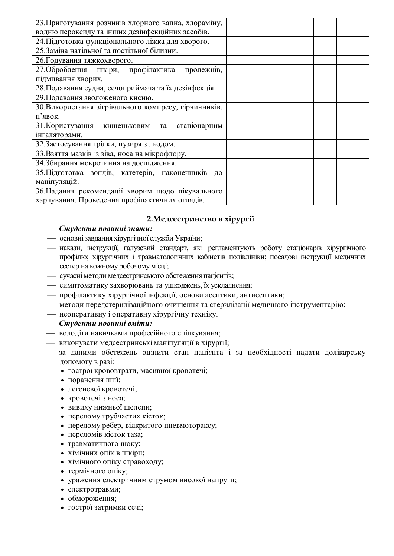| 23. Приготування розчинів хлорного вапна, хлораміну,  |  |  |  |  |
|-------------------------------------------------------|--|--|--|--|
| водню пероксиду та інших дезінфекційних засобів.      |  |  |  |  |
| 24. Підготовка функціонального ліжка для хворого.     |  |  |  |  |
| 25. Заміна натільної та постільної білизни.           |  |  |  |  |
| 26. Годування тяжкохворого.                           |  |  |  |  |
| 27. Оброблення шкіри, профілактика<br>пролежнів,      |  |  |  |  |
| підмивання хворих.                                    |  |  |  |  |
| 28. Подавання судна, сечоприймача та їх дезінфекція.  |  |  |  |  |
| 29. Подавання зволоженого кисню.                      |  |  |  |  |
| 30. Використання зігрівального компресу, гірчичників, |  |  |  |  |
| п'явок.                                               |  |  |  |  |
| 31. Користування кишеньковим та<br>стаціонарним       |  |  |  |  |
| інгаляторами.                                         |  |  |  |  |
| 32. Застосування грілки, пузиря з льодом.             |  |  |  |  |
| 33. Взяття мазків із зіва, носа на мікрофлору.        |  |  |  |  |
| 34. Збирання мокротиння на дослідження.               |  |  |  |  |
| 35. Підготовка зондів, катетерів, наконечників<br>ДО  |  |  |  |  |
| маніпуляцій.                                          |  |  |  |  |
| 36. Надання рекомендації хворим щодо лікувального     |  |  |  |  |
| харчування. Проведення профілактичних оглядів.        |  |  |  |  |

# 2. Медсестринство в хірургії

#### $C$ *mvденти повинні знати:*

- основні завдання хірургічної служби України;
- накази, інструкції, галузевий стандарт, які регламентують роботу стаціонарів хірургічного профілю; хірургічних і травматологічних кабінетів поліклініки; посадові інструкції медичних сестер на кожному робочому місці;
- сучасні методи медсестринського обстеження пацієнтів;
- симптоматику захворювань та ушкоджень, їх ускладнення;
- профілактику хірургічної інфекції, основи асептики, антисептики;
- методи передстерилізаційного очищення та стерилізації медичного інструментарію;
- неоперативну і оперативну хірургічну техніку.

# **Студенти повинні вміти:**

- **володіти навичками професійного спілкування;**
- **виконувати медсестринські маніпуляції в хірургії;**
- за даними обстежень оцінити стан пацієнта і за необхідності надати долікарську допомогу в разі:
	- гострої крововтрати, масивної кровотечі;
	- поранення шиї;
	- легеневої кровотечі;
	- кровотечі з носа;
	- вивиху нижньої щелепи;
	- перелому трубчастих кісток;
	- перелому ребер, відкритого пневмотораксу;
	- переломів кісток таза;
	- травматичного шоку;
	- хімічних опіків шкіри;
	- хімічного опіку стравоходу;
	- $\bullet$  термічного опіку;
	- ураження електричним струмом високої напруги;
	- електротравми;
	- обмороження;
	- гострої затримки сечі;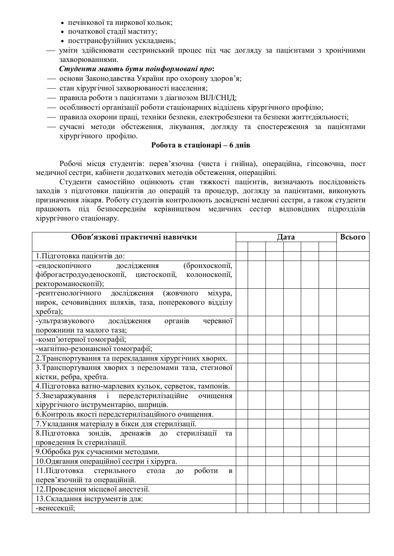- печінкової та ниркової кольок;
- початкової стадії маститу;
- посттрансфузійних ускладнень;
- уміти здійснювати сестринський процес під час догляду за пацієнтами з хронічними захворюваннями.

## $C$ *түденти мають бүти поінформовані про*:

- основи Законодавства України про охорону здоров'я;
- стан хірургічної захворюваності населення;
- правила роботи з пацієнтами з діагнозом ВІЛ/СНІД;
- особливості організації роботи стаціонарних відділень хірургічного профілю;
- правила охорони праці, техніки безпеки, електробезпеки та безпеки життєдіяльності;
- сучасні методи обстеження, лікування, догляду та спостереження за пацієнтами хірургічного профілю.

# **Робота в стаціонарі – 6 днів**

Робочі місця студентів: перев'язочна (чиста і гнійна), операційна, гіпсовочна, пост медичної сестри, кабінети додаткових методів обстеження, операційні.

Студенти самостійно оцінюють стан тяжкості пацієнтів, визначають послідовність заходів з підготовки пацієнтів до операцій та процедур, догляду за пацієнтами, виконують призначення лікаря. Роботу студентів контролюють досвідчені медичні сестри, а також студенти працюють під безпосереднім керівництвом медичних сестер відповідних підрозділів хірургічного стаціонару.

| Обов'язкові практичні навички                            | Дата |  | Всього |  |
|----------------------------------------------------------|------|--|--------|--|
|                                                          |      |  |        |  |
| 1. Підготовка пацієнтів до:                              |      |  |        |  |
| дослідження<br>-ендоскопічного<br>(бронхоскопії,         |      |  |        |  |
| фіброгастродуоденоскопії, цистоскопії,<br>колоноскопії,  |      |  |        |  |
| ректороманоскопії);                                      |      |  |        |  |
| -рентгенологічного дослідження<br>(жовчного<br>міхура,   |      |  |        |  |
| нирок, сечовивідних шляхів, таза, поперекового відділу   |      |  |        |  |
| хребта);                                                 |      |  |        |  |
| -ультразвукового дослідження<br>органів<br>черевної      |      |  |        |  |
| порожнини та малого таза;                                |      |  |        |  |
| -комп'ютерної томографії;                                |      |  |        |  |
| -магнітно-резонансної томографії;                        |      |  |        |  |
| 2. Транспортування та перекладання хірургічних хворих.   |      |  |        |  |
| 3. Транспортування хворих з переломами таза, стегнової   |      |  |        |  |
| кістки, ребра, хребта.                                   |      |  |        |  |
| 4. Підготовка ватно-марлевих кульок, серветок, тампонів. |      |  |        |  |
| 5. Знезаражування і передстерилізаційне<br>очищення      |      |  |        |  |
| хірургічного інструментарію, шприців.                    |      |  |        |  |
| 6. Контроль якості передстерилізаційного очищення.       |      |  |        |  |
| 7. Укладання матеріалу в бікси для стерилізації.         |      |  |        |  |
| 8. Підготовка зондів, дренажів до<br>стерилізації<br>та  |      |  |        |  |
| проведення їх стерилізації.                              |      |  |        |  |
| 9. Обробка рук сучасними методами.                       |      |  |        |  |
| 10. Одягання операційної сестри і хірурга.               |      |  |        |  |
| 11. Підготовка стерильного стола<br>роботи<br>ДО<br>B    |      |  |        |  |
| перев'язочній та операційній.                            |      |  |        |  |
| 12. Проведення місцевої анестезії.                       |      |  |        |  |
| 13. Складання інструментів для:                          |      |  |        |  |
| -венесекції;                                             |      |  |        |  |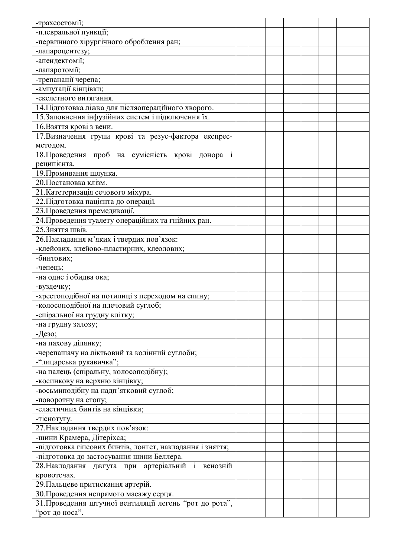| -трахеостомії;                                                                                            |  |  |  |  |
|-----------------------------------------------------------------------------------------------------------|--|--|--|--|
| -плевральної пункції;                                                                                     |  |  |  |  |
| -первинного хірургічного оброблення ран;                                                                  |  |  |  |  |
| -лапароцентезу;                                                                                           |  |  |  |  |
| -апендектомії;                                                                                            |  |  |  |  |
| -лапаротомії;                                                                                             |  |  |  |  |
| -трепанації черепа;                                                                                       |  |  |  |  |
| -ампутації кінцівки;                                                                                      |  |  |  |  |
| -скелетного витягання.                                                                                    |  |  |  |  |
|                                                                                                           |  |  |  |  |
| 14. Підготовка ліжка для післяопераційного хворого.<br>15. Заповнення інфузійних систем і підключення їх. |  |  |  |  |
|                                                                                                           |  |  |  |  |
| 16. Взяття крові з вени.                                                                                  |  |  |  |  |
| 17. Визначення групи крові та резус-фактора експрес-                                                      |  |  |  |  |
| методом.                                                                                                  |  |  |  |  |
| 18. Проведення проб на сумісність крові донора<br>$\overline{1}$                                          |  |  |  |  |
| реципієнта.                                                                                               |  |  |  |  |
| 19. Промивання шлунка.                                                                                    |  |  |  |  |
| 20. Постановка клізм.                                                                                     |  |  |  |  |
| 21. Катетеризація сечового міхура.                                                                        |  |  |  |  |
| 22. Підготовка пацієнта до операції.                                                                      |  |  |  |  |
| 23. Проведення премедикації.                                                                              |  |  |  |  |
| 24. Проведення туалету операційних та гнійних ран.                                                        |  |  |  |  |
| 25. Зняття швів.                                                                                          |  |  |  |  |
| 26. Накладання м'яких і твердих пов'язок:                                                                 |  |  |  |  |
| -клейових, клейово-пластирних, клеолових;                                                                 |  |  |  |  |
| -бинтових;                                                                                                |  |  |  |  |
| -чепець;                                                                                                  |  |  |  |  |
| -на одне і обидва ока;                                                                                    |  |  |  |  |
| -вуздечку;                                                                                                |  |  |  |  |
| -хрестоподібної на потилиці з переходом на спину;                                                         |  |  |  |  |
| -колосоподібної на плечовий суглоб;                                                                       |  |  |  |  |
| -спіральної на грудну клітку;                                                                             |  |  |  |  |
| -на грудну залозу;                                                                                        |  |  |  |  |
| -Дезо;                                                                                                    |  |  |  |  |
| -на пахову ділянку;                                                                                       |  |  |  |  |
| -черепашачу на ліктьовий та колінний суглоби;                                                             |  |  |  |  |
| - "лицарська рукавичка";                                                                                  |  |  |  |  |
| -на палець (спіральну, колосоподібну);                                                                    |  |  |  |  |
|                                                                                                           |  |  |  |  |
| -косинкову на верхню кінцівку;                                                                            |  |  |  |  |
| -восьмиподібну на надп'ятковий суглоб;                                                                    |  |  |  |  |
| -поворотну на стопу;                                                                                      |  |  |  |  |
| -еластичних бинтів на кінцівки;                                                                           |  |  |  |  |
| -тіснотугу.                                                                                               |  |  |  |  |
| 27. Накладання твердих пов'язок:                                                                          |  |  |  |  |
| -шини Крамера, Дітеріхса;                                                                                 |  |  |  |  |
| -підготовка гіпсових бинтів, лонгет, накладання і зняття;                                                 |  |  |  |  |
| -підготовка до застосування шини Беллера.                                                                 |  |  |  |  |
| 28. Накладання джгута при артеріальній і венозній                                                         |  |  |  |  |
| кровотечах.                                                                                               |  |  |  |  |
| 29. Пальцеве притискання артерій.                                                                         |  |  |  |  |
| 30. Проведення непрямого масажу серця.                                                                    |  |  |  |  |
| 31. Проведення штучної вентиляції легень "рот до рота",                                                   |  |  |  |  |
| "рот до носа".                                                                                            |  |  |  |  |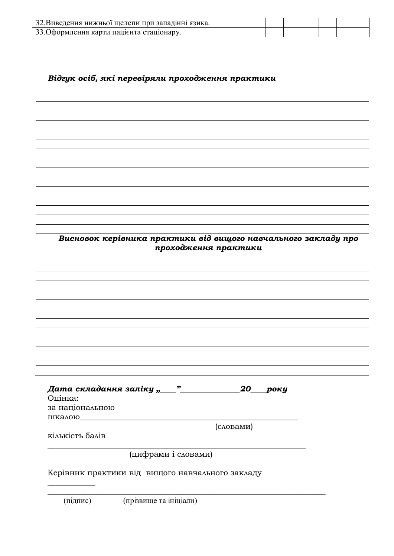| 32. Виведення нижньої щелепи при западінні язика. |  |  |  |  |
|---------------------------------------------------|--|--|--|--|
| 33. Оформлення карти пацієнта стаціонару.         |  |  |  |  |

Відгук осіб, які перевіряли проходження практики

Висновок керівника практики від вищого навчального закладу про проходження практики

Дата складання заліку " $\frac{m}{20}$  20 року Опінка: за національною ШКАЛОЮ (словами) кількість балів (цифрами і словами) Керівник практики від вищого навчального закладу

(підпис) (прізвище та ініціали)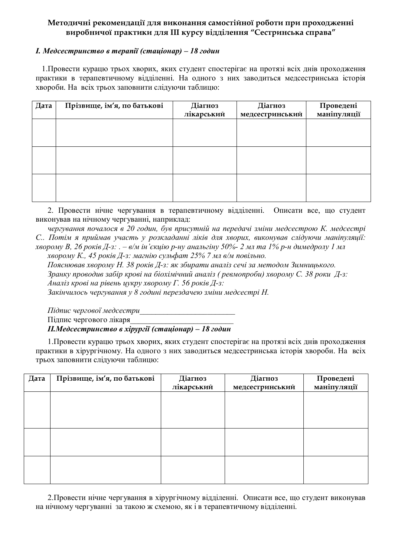# Методичні рекомендації для виконання самостійної роботи при проходженні **ȐȖȞȜȏțȖȥȜȴȝȞȎȘȠȖȘȖȒșȭǥǥǥȘȡȞȟȡȐȳȒȒȳșȓțțȭ "ǿȓȟȠȞȖțȟȪȘȎȟȝȞȎȐȎ"**

# *I. Медсестринство в терапії (стаціонар) – 18 годин*

1. Провести курацю трьох хворих, яких студент спостерігає на протязі всіх днів проходження практики в терапевтичному відділенні. На одного з них заводиться медсестринська історія хвороби. На всіх трьох заповнити слідуючи таблицю:

| Дата | Прізвище, ім'я, по батькові | Діагноз<br>лікарський | Діагноз<br>медсестринський | Проведені<br>маніпуляції |
|------|-----------------------------|-----------------------|----------------------------|--------------------------|
|      |                             |                       |                            |                          |
|      |                             |                       |                            |                          |
|      |                             |                       |                            |                          |
|      |                             |                       |                            |                          |
|      |                             |                       |                            |                          |
|      |                             |                       |                            |                          |

2. Провести нічне чергування в терапевтичному відділенні. Описати все, що студент виконував на нічному чергуванні, наприклад:

чергування почалося в 20 годин, був присутній на передачі зміни медсестрою К. медсестрі С.. Потім я приймав участь у розкладанні ліків для хворих, виконував слідуючи маніпуляції: *xворому* В, 26 років Д-з: . – в/м ін'єкцію р-ну анальгіну 50%- 2 мл та 1% р-н димедролу 1 мл

 $x\epsilon$ еорому К., 45 років Д-з: магнію сульфат 25% 7 мл в/м повільно.  $\Pi$ ояснював хворому Н. 38 років Д-з: як збирати аналіз сечі за методом Зимнииького.

 $3$ ранку проводив забір крові на біохімічний аналіз (ревмопроби) хворому С. 38 роки Д-з:

*Aналіз крові на рівень цукру хворому Г. 56 років Д-з:* 

Закінчилось чергування у 8 годині перездачею зміни медсестрі Н.

*ɉɿɞɩɢɫɱɟɪɝɨɜɨʀɦɟɞɫɟɫɬɪɢ\_\_\_\_\_\_\_\_\_\_\_\_\_\_\_\_\_\_\_\_\_\_\_\_*

Підпис чергового лікаря

 $II.Me$ дсестринство в хірургії (стаціонар) – 18 годин

1. Провести курацю трьох хворих, яких студент спостерігає на протязі всіх днів проходження практики в хірургічному. На одного з них заводиться медсестринська історія хвороби. На всіх трьох заповнити слідуючи таблицю:

| Дата | Прізвище, ім'я, по батькові | Діагноз<br>лікарський | Діагноз<br>медсестринський | Проведені<br>маніпуляції |
|------|-----------------------------|-----------------------|----------------------------|--------------------------|
|      |                             |                       |                            |                          |
|      |                             |                       |                            |                          |
|      |                             |                       |                            |                          |
|      |                             |                       |                            |                          |
|      |                             |                       |                            |                          |
|      |                             |                       |                            |                          |

2. Провести нічне чергування в хірургічному відділенні. Описати все, що студент виконував на нічному чергуванні за такою ж схемою, як і в терапевтичному відділенні.